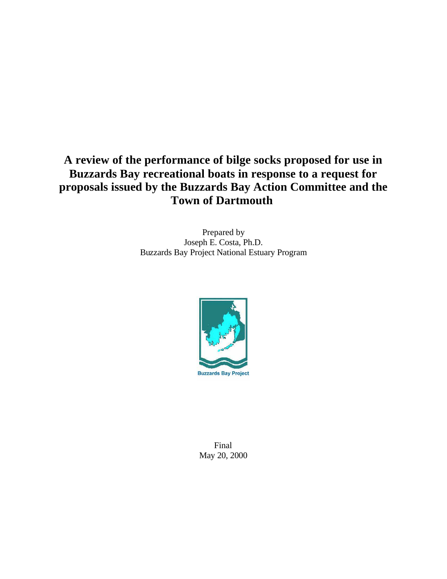# **A review of the performance of bilge socks proposed for use in Buzzards Bay recreational boats in response to a request for proposals issued by the Buzzards Bay Action Committee and the Town of Dartmouth**

Prepared by Joseph E. Costa, Ph.D. Buzzards Bay Project National Estuary Program



Final May 20, 2000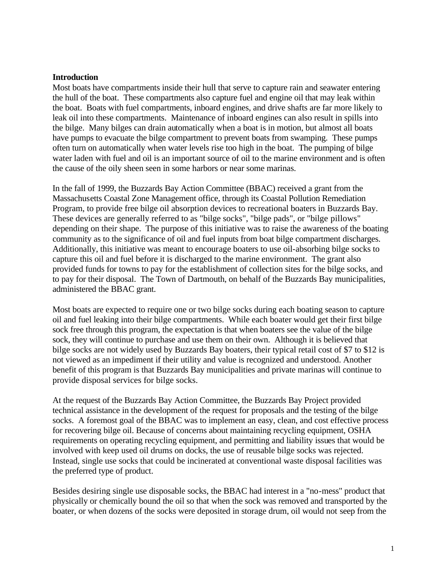#### **Introduction**

Most boats have compartments inside their hull that serve to capture rain and seawater entering the hull of the boat. These compartments also capture fuel and engine oil that may leak within the boat. Boats with fuel compartments, inboard engines, and drive shafts are far more likely to leak oil into these compartments. Maintenance of inboard engines can also result in spills into the bilge. Many bilges can drain automatically when a boat is in motion, but almost all boats have pumps to evacuate the bilge compartment to prevent boats from swamping. These pumps often turn on automatically when water levels rise too high in the boat. The pumping of bilge water laden with fuel and oil is an important source of oil to the marine environment and is often the cause of the oily sheen seen in some harbors or near some marinas.

In the fall of 1999, the Buzzards Bay Action Committee (BBAC) received a grant from the Massachusetts Coastal Zone Management office, through its Coastal Pollution Remediation Program, to provide free bilge oil absorption devices to recreational boaters in Buzzards Bay. These devices are generally referred to as "bilge socks", "bilge pads", or "bilge pillows" depending on their shape. The purpose of this initiative was to raise the awareness of the boating community as to the significance of oil and fuel inputs from boat bilge compartment discharges. Additionally, this initiative was meant to encourage boaters to use oil-absorbing bilge socks to capture this oil and fuel before it is discharged to the marine environment. The grant also provided funds for towns to pay for the establishment of collection sites for the bilge socks, and to pay for their disposal. The Town of Dartmouth, on behalf of the Buzzards Bay municipalities, administered the BBAC grant.

Most boats are expected to require one or two bilge socks during each boating season to capture oil and fuel leaking into their bilge compartments. While each boater would get their first bilge sock free through this program, the expectation is that when boaters see the value of the bilge sock, they will continue to purchase and use them on their own. Although it is believed that bilge socks are not widely used by Buzzards Bay boaters, their typical retail cost of \$7 to \$12 is not viewed as an impediment if their utility and value is recognized and understood. Another benefit of this program is that Buzzards Bay municipalities and private marinas will continue to provide disposal services for bilge socks.

At the request of the Buzzards Bay Action Committee, the Buzzards Bay Project provided technical assistance in the development of the request for proposals and the testing of the bilge socks. A foremost goal of the BBAC was to implement an easy, clean, and cost effective process for recovering bilge oil. Because of concerns about maintaining recycling equipment, OSHA requirements on operating recycling equipment, and permitting and liability issues that would be involved with keep used oil drums on docks, the use of reusable bilge socks was rejected. Instead, single use socks that could be incinerated at conventional waste disposal facilities was the preferred type of product.

Besides desiring single use disposable socks, the BBAC had interest in a "no-mess" product that physically or chemically bound the oil so that when the sock was removed and transported by the boater, or when dozens of the socks were deposited in storage drum, oil would not seep from the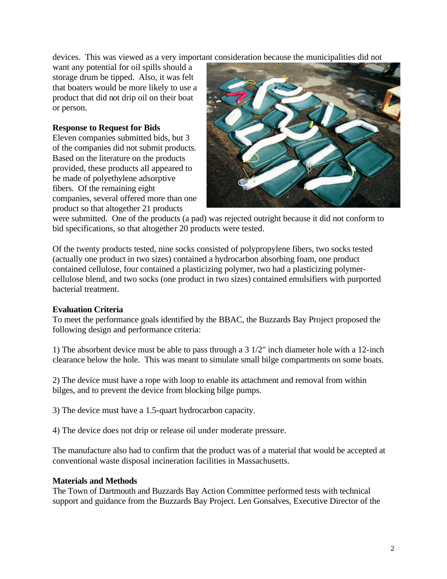devices. This was viewed as a very important consideration because the municipalities did not

want any potential for oil spills should a storage drum be tipped. Also, it was felt that boaters would be more likely to use a product that did not drip oil on their boat or person.

## **Response to Request for Bids**

Eleven companies submitted bids, but 3 of the companies did not submit products. Based on the literature on the products provided, these products all appeared to be made of polyethylene adsorptive fibers. Of the remaining eight companies, several offered more than one product so that altogether 21 products



were submitted. One of the products (a pad) was rejected outright because it did not conform to bid specifications, so that altogether 20 products were tested.

Of the twenty products tested, nine socks consisted of polypropylene fibers, two socks tested (actually one product in two sizes) contained a hydrocarbon absorbing foam, one product contained cellulose, four contained a plasticizing polymer, two had a plasticizing polymercellulose blend, and two socks (one product in two sizes) contained emulsifiers with purported bacterial treatment.

## **Evaluation Criteria**

To meet the performance goals identified by the BBAC, the Buzzards Bay Project proposed the following design and performance criteria:

1) The absorbent device must be able to pass through a 3 1/2" inch diameter hole with a 12-inch clearance below the hole. This was meant to simulate small bilge compartments on some boats.

2) The device must have a rope with loop to enable its attachment and removal from within bilges, and to prevent the device from blocking bilge pumps.

3) The device must have a 1.5-quart hydrocarbon capacity.

4) The device does not drip or release oil under moderate pressure.

The manufacture also had to confirm that the product was of a material that would be accepted at conventional waste disposal incineration facilities in Massachusetts.

## **Materials and Methods**

The Town of Dartmouth and Buzzards Bay Action Committee performed tests with technical support and guidance from the Buzzards Bay Project. Len Gonsalves, Executive Director of the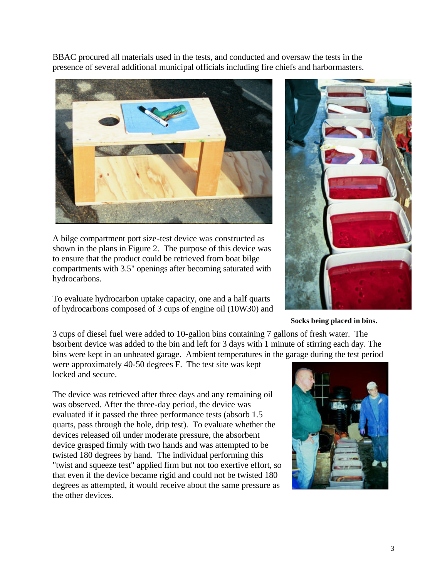BBAC procured all materials used in the tests, and conducted and oversaw the tests in the presence of several additional municipal officials including fire chiefs and harbormasters.



A bilge compartment port size-test device was constructed as shown in the plans in Figure 2. The purpose of this device was to ensure that the product could be retrieved from boat bilge compartments with 3.5" openings after becoming saturated with hydrocarbons.

To evaluate hydrocarbon uptake capacity, one and a half quarts of hydrocarbons composed of 3 cups of engine oil (10W30) and



#### **Socks being placed in bins.**

3 cups of diesel fuel were added to 10-gallon bins containing 7 gallons of fresh water. The bsorbent device was added to the bin and left for 3 days with 1 minute of stirring each day. The bins were kept in an unheated garage. Ambient temperatures in the garage during the test period

were approximately 40-50 degrees F. The test site was kept locked and secure.

The device was retrieved after three days and any remaining oil was observed. After the three-day period, the device was evaluated if it passed the three performance tests (absorb 1.5 quarts, pass through the hole, drip test). To evaluate whether the devices released oil under moderate pressure, the absorbent device grasped firmly with two hands and was attempted to be twisted 180 degrees by hand. The individual performing this "twist and squeeze test" applied firm but not too exertive effort, so that even if the device became rigid and could not be twisted 180 degrees as attempted, it would receive about the same pressure as the other devices.

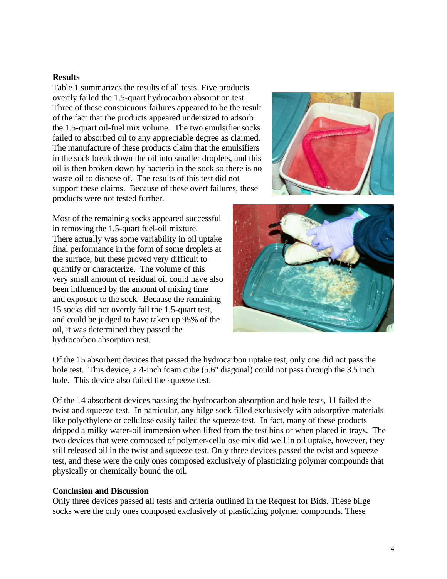### **Results**

Table 1 summarizes the results of all tests. Five products overtly failed the 1.5-quart hydrocarbon absorption test. Three of these conspicuous failures appeared to be the result of the fact that the products appeared undersized to adsorb the 1.5-quart oil-fuel mix volume. The two emulsifier socks failed to absorbed oil to any appreciable degree as claimed. The manufacture of these products claim that the emulsifiers in the sock break down the oil into smaller droplets, and this oil is then broken down by bacteria in the sock so there is no waste oil to dispose of. The results of this test did not support these claims. Because of these overt failures, these products were not tested further.

Most of the remaining socks appeared successful in removing the 1.5-quart fuel-oil mixture. There actually was some variability in oil uptake final performance in the form of some droplets at the surface, but these proved very difficult to quantify or characterize. The volume of this very small amount of residual oil could have also been influenced by the amount of mixing time and exposure to the sock. Because the remaining 15 socks did not overtly fail the 1.5-quart test, and could be judged to have taken up 95% of the oil, it was determined they passed the hydrocarbon absorption test.





Of the 15 absorbent devices that passed the hydrocarbon uptake test, only one did not pass the hole test. This device, a 4-inch foam cube (5.6" diagonal) could not pass through the 3.5 inch hole. This device also failed the squeeze test.

Of the 14 absorbent devices passing the hydrocarbon absorption and hole tests, 11 failed the twist and squeeze test. In particular, any bilge sock filled exclusively with adsorptive materials like polyethylene or cellulose easily failed the squeeze test. In fact, many of these products dripped a milky water-oil immersion when lifted from the test bins or when placed in trays. The two devices that were composed of polymer-cellulose mix did well in oil uptake, however, they still released oil in the twist and squeeze test. Only three devices passed the twist and squeeze test, and these were the only ones composed exclusively of plasticizing polymer compounds that physically or chemically bound the oil.

#### **Conclusion and Discussion**

Only three devices passed all tests and criteria outlined in the Request for Bids. These bilge socks were the only ones composed exclusively of plasticizing polymer compounds. These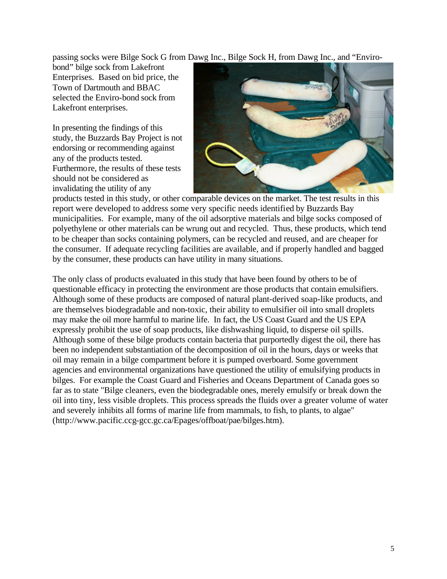passing socks were Bilge Sock G from Dawg Inc., Bilge Sock H, from Dawg Inc., and "Enviro-

bond" bilge sock from Lakefront Enterprises. Based on bid price, the Town of Dartmouth and BBAC selected the Enviro-bond sock from Lakefront enterprises.

In presenting the findings of this study, the Buzzards Bay Project is not endorsing or recommending against any of the products tested. Furthermore, the results of these tests should not be considered as invalidating the utility of any



products tested in this study, or other comparable devices on the market. The test results in this report were developed to address some very specific needs identified by Buzzards Bay municipalities. For example, many of the oil adsorptive materials and bilge socks composed of polyethylene or other materials can be wrung out and recycled. Thus, these products, which tend to be cheaper than socks containing polymers, can be recycled and reused, and are cheaper for the consumer. If adequate recycling facilities are available, and if properly handled and bagged by the consumer, these products can have utility in many situations.

The only class of products evaluated in this study that have been found by others to be of questionable efficacy in protecting the environment are those products that contain emulsifiers. Although some of these products are composed of natural plant-derived soap-like products, and are themselves biodegradable and non-toxic, their ability to emulsifier oil into small droplets may make the oil more harmful to marine life. In fact, the US Coast Guard and the US EPA expressly prohibit the use of soap products, like dishwashing liquid, to disperse oil spills. Although some of these bilge products contain bacteria that purportedly digest the oil, there has been no independent substantiation of the decomposition of oil in the hours, days or weeks that oil may remain in a bilge compartment before it is pumped overboard. Some government agencies and environmental organizations have questioned the utility of emulsifying products in bilges. For example the Coast Guard and Fisheries and Oceans Department of Canada goes so far as to state "Bilge cleaners, even the biodegradable ones, merely emulsify or break down the oil into tiny, less visible droplets. This process spreads the fluids over a greater volume of water and severely inhibits all forms of marine life from mammals, to fish, to plants, to algae" (http://www.pacific.ccg-gcc.gc.ca/Epages/offboat/pae/bilges.htm).